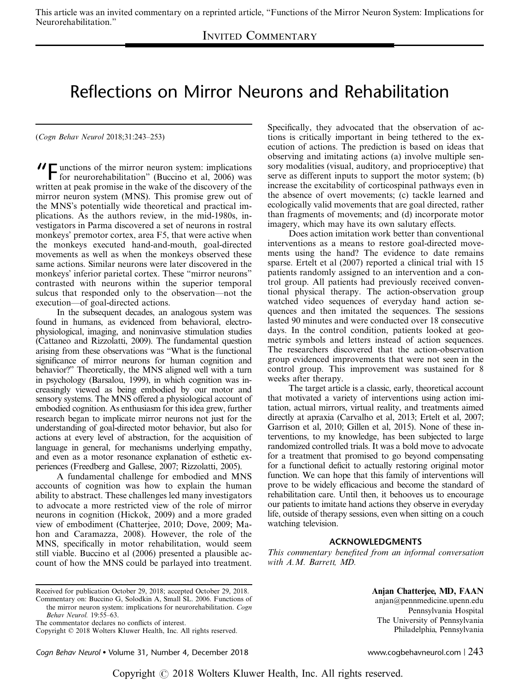## INVITED COMMENTARY

## Reflections on Mirror Neurons and Rehabilitation

(Cogn Behav Neurol 2018;31:243–253)

"Functions of the mirror neuron system: implications for neurorehabilitation" (Buccino et al, 2006) was written at peak promise in the wake of the discovery of the mirror neuron system (MNS). This promise grew out of the MNS's potentially wide theoretical and practical implications. As the authors review, in the mid-1980s, investigators in Parma discovered a set of neurons in rostral monkeys' premotor cortex, area F5, that were active when the monkeys executed hand-and-mouth, goal-directed movements as well as when the monkeys observed these same actions. Similar neurons were later discovered in the monkeys' inferior parietal cortex. These "mirror neurons" contrasted with neurons within the superior temporal sulcus that responded only to the observation—not the execution—of goal-directed actions.

In the subsequent decades, an analogous system was found in humans, as evidenced from behavioral, electrophysiological, imaging, and noninvasive stimulation studies (Cattaneo and Rizzolatti, 2009). The fundamental question arising from these observations was "What is the functional significance of mirror neurons for human cognition and behavior?" Theoretically, the MNS aligned well with a turn in psychology (Barsalou, 1999), in which cognition was increasingly viewed as being embodied by our motor and sensory systems. The MNS offered a physiological account of embodied cognition. As enthusiasm for this idea grew, further research began to implicate mirror neurons not just for the understanding of goal-directed motor behavior, but also for actions at every level of abstraction, for the acquisition of language in general, for mechanisms underlying empathy, and even as a motor resonance explanation of esthetic experiences (Freedberg and Gallese, 2007; Rizzolatti, 2005).

A fundamental challenge for embodied and MNS accounts of cognition was how to explain the human ability to abstract. These challenges led many investigators to advocate a more restricted view of the role of mirror neurons in cognition (Hickok, 2009) and a more graded view of embodiment (Chatterjee, 2010; Dove, 2009; Mahon and Caramazza, 2008). However, the role of the MNS, specifically in motor rehabilitation, would seem still viable. Buccino et al (2006) presented a plausible account of how the MNS could be parlayed into treatment.

Specifically, they advocated that the observation of actions is critically important in being tethered to the execution of actions. The prediction is based on ideas that observing and imitating actions (a) involve multiple sensory modalities (visual, auditory, and proprioceptive) that serve as different inputs to support the motor system; (b) increase the excitability of corticospinal pathways even in the absence of overt movements; (c) tackle learned and ecologically valid movements that are goal directed, rather than fragments of movements; and (d) incorporate motor imagery, which may have its own salutary effects.

Does action imitation work better than conventional interventions as a means to restore goal-directed movements using the hand? The evidence to date remains sparse. Ertelt et al (2007) reported a clinical trial with 15 patients randomly assigned to an intervention and a control group. All patients had previously received conventional physical therapy. The action-observation group watched video sequences of everyday hand action sequences and then imitated the sequences. The sessions lasted 90 minutes and were conducted over 18 consecutive days. In the control condition, patients looked at geometric symbols and letters instead of action sequences. The researchers discovered that the action-observation group evidenced improvements that were not seen in the control group. This improvement was sustained for 8 weeks after therapy.

The target article is a classic, early, theoretical account that motivated a variety of interventions using action imitation, actual mirrors, virtual reality, and treatments aimed directly at apraxia (Carvalho et al, 2013; Ertelt et al, 2007; Garrison et al, 2010; Gillen et al, 2015). None of these interventions, to my knowledge, has been subjected to large randomized controlled trials. It was a bold move to advocate for a treatment that promised to go beyond compensating for a functional deficit to actually restoring original motor function. We can hope that this family of interventions will prove to be widely efficacious and become the standard of rehabilitation care. Until then, it behooves us to encourage our patients to imitate hand actions they observe in everyday life, outside of therapy sessions, even when sitting on a couch watching television.

## ACKNOWLEDGMENTS

This commentary benefited from an informal conversation with A.M. Barrett, MD.

Cogn Behav Neurol • Volume 31, Number 4, December 2018 www.cogbehavneurol.com | 243

Anjan Chatterjee, MD, FAAN

anjan@pennmedicine.upenn.edu Pennsylvania Hospital The University of Pennsylvania Philadelphia, Pennsylvania

Received for publication October 29, 2018; accepted October 29, 2018.

Commentary on: Buccino G, Solodkin A, Small SL. 2006. Functions of the mirror neuron system: implications for neurorehabilitation. Cogn

Behav Neurol. 19:55–63.

The commentator declares no conflicts of interest. Copyright © 2018 Wolters Kluwer Health, Inc. All rights reserved.